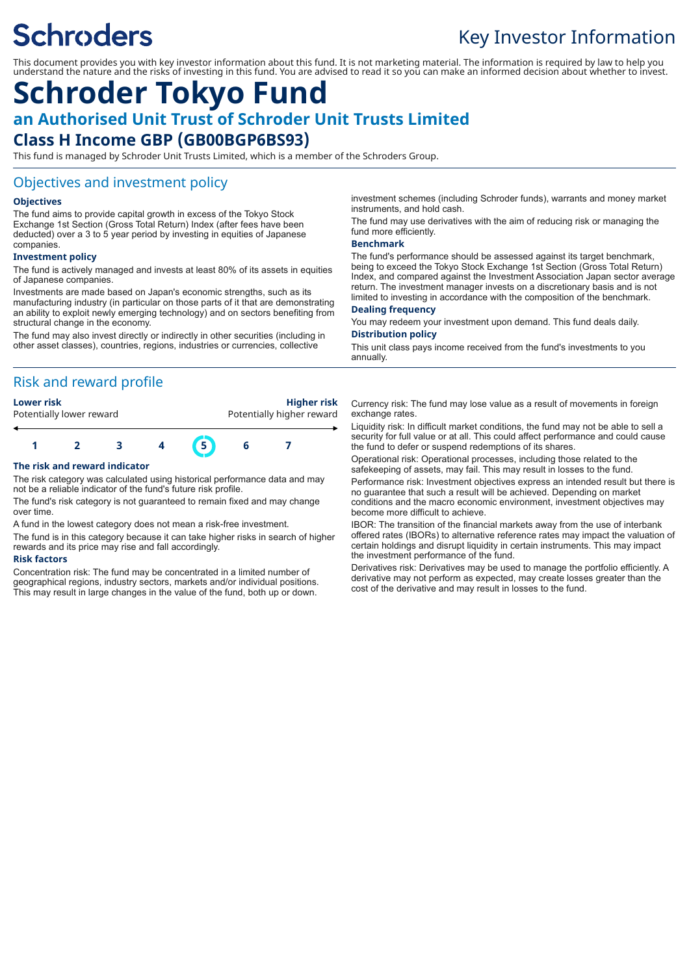# **Schroders**

# Key Investor Information

This document provides you with key investor information about this fund. It is not marketing material. The information is required by law to help you understand the nature and the risks of investing in this fund. You are advised to read it so you can make an informed decision about whether to invest.

# **Schroder Tokyo Fund an Authorised Unit Trust of Schroder Unit Trusts Limited Class H Income GBP (GB00BGP6BS93)**

This fund is managed by Schroder Unit Trusts Limited, which is a member of the Schroders Group.

### Objectives and investment policy

#### **Objectives**

The fund aims to provide capital growth in excess of the Tokyo Stock Exchange 1st Section (Gross Total Return) Index (after fees have been deducted) over a 3 to 5 year period by investing in equities of Japanese companies.

#### **Investment policy**

The fund is actively managed and invests at least 80% of its assets in equities of Japanese companies.

Investments are made based on Japan's economic strengths, such as its manufacturing industry (in particular on those parts of it that are demonstrating an ability to exploit newly emerging technology) and on sectors benefiting from structural change in the economy.

The fund may also invest directly or indirectly in other securities (including in other asset classes), countries, regions, industries or currencies, collective

### Risk and reward profile



#### **The risk and reward indicator**

The risk category was calculated using historical performance data and may not be a reliable indicator of the fund's future risk profile.

The fund's risk category is not guaranteed to remain fixed and may change over time.

A fund in the lowest category does not mean a risk-free investment.

The fund is in this category because it can take higher risks in search of higher rewards and its price may rise and fall accordingly.

#### **Risk factors**

Concentration risk: The fund may be concentrated in a limited number of geographical regions, industry sectors, markets and/or individual positions. This may result in large changes in the value of the fund, both up or down.

investment schemes (including Schroder funds), warrants and money market instruments, and hold cash.

The fund may use derivatives with the aim of reducing risk or managing the fund more efficiently.

#### **Benchmark**

The fund's performance should be assessed against its target benchmark, being to exceed the Tokyo Stock Exchange 1st Section (Gross Total Return) Index, and compared against the Investment Association Japan sector average return. The investment manager invests on a discretionary basis and is not limited to investing in accordance with the composition of the benchmark.

#### **Dealing frequency**

You may redeem your investment upon demand. This fund deals daily. **Distribution policy**

#### This unit class pays income received from the fund's investments to you annually.

Currency risk: The fund may lose value as a result of movements in foreign exchange rates.

Liquidity risk: In difficult market conditions, the fund may not be able to sell a security for full value or at all. This could affect performance and could cause the fund to defer or suspend redemptions of its shares.

Operational risk: Operational processes, including those related to the safekeeping of assets, may fail. This may result in losses to the fund.

Performance risk: Investment objectives express an intended result but there is no guarantee that such a result will be achieved. Depending on market conditions and the macro economic environment, investment objectives may become more difficult to achieve.

IBOR: The transition of the financial markets away from the use of interbank offered rates (IBORs) to alternative reference rates may impact the valuation of certain holdings and disrupt liquidity in certain instruments. This may impact the investment performance of the fund.

Derivatives risk: Derivatives may be used to manage the portfolio efficiently. A derivative may not perform as expected, may create losses greater than the cost of the derivative and may result in losses to the fund.